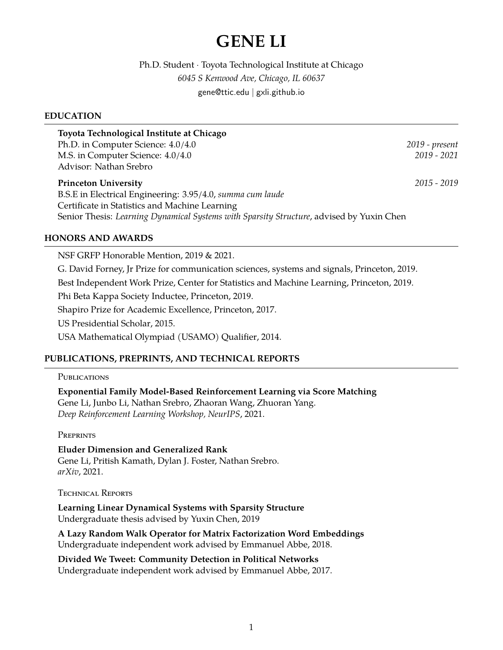# **GENE LI**

Ph.D. Student · Toyota Technological Institute at Chicago *6045 S Kenwood Ave, Chicago, IL 60637* gene@ttic.edu | gxli.github.io

## **EDUCATION**

| Toyota Technological Institute at Chicago                  |                |
|------------------------------------------------------------|----------------|
| Ph.D. in Computer Science: 4.0/4.0                         | 2019 - present |
| M.S. in Computer Science: 4.0/4.0                          | $2019 - 2021$  |
| Advisor: Nathan Srebro                                     |                |
|                                                            |                |
| <b>Princeton University</b>                                | $2015 - 2019$  |
| B.S.E in Electrical Engineering: 3.95/4.0, summa cum laude |                |
| Certificate in Statistics and Machine Learning             |                |

### **HONORS AND AWARDS**

NSF GRFP Honorable Mention, 2019 & 2021. G. David Forney, Jr Prize for communication sciences, systems and signals, Princeton, 2019. Best Independent Work Prize, Center for Statistics and Machine Learning, Princeton, 2019. Phi Beta Kappa Society Inductee, Princeton, 2019. Shapiro Prize for Academic Excellence, Princeton, 2017. US Presidential Scholar, 2015. USA Mathematical Olympiad (USAMO) Qualifier, 2014.

## **PUBLICATIONS, PREPRINTS, AND TECHNICAL REPORTS**

#### **PUBLICATIONS**

**Exponential Family Model-Based Reinforcement Learning via Score Matching** Gene Li, Junbo Li, Nathan Srebro, Zhaoran Wang, Zhuoran Yang. *Deep Reinforcement Learning Workshop, NeurIPS*, 2021.

**PREPRINTS** 

**Eluder Dimension and Generalized Rank** Gene Li, Pritish Kamath, Dylan J. Foster, Nathan Srebro. *arXiv*, 2021.

Technical Reports

**Learning Linear Dynamical Systems with Sparsity Structure** Undergraduate thesis advised by Yuxin Chen, 2019

**A Lazy Random Walk Operator for Matrix Factorization Word Embeddings** Undergraduate independent work advised by Emmanuel Abbe, 2018.

**Divided We Tweet: Community Detection in Political Networks** Undergraduate independent work advised by Emmanuel Abbe, 2017.